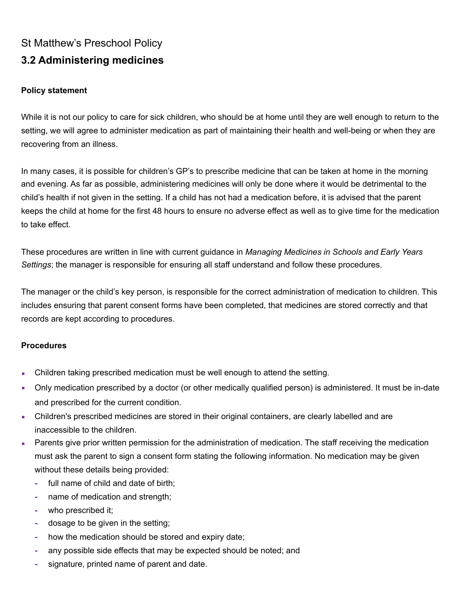# St Matthew's Preschool Policy **3.2 Administering medicines**

### **Policy statement**

While it is not our policy to care for sick children, who should be at home until they are well enough to return to the setting, we will agree to administer medication as part of maintaining their health and well-being or when they are recovering from an illness.

In many cases, it is possible for children's GP's to prescribe medicine that can be taken at home in the morning and evening. As far as possible, administering medicines will only be done where it would be detrimental to the child's health if not given in the setting. If a child has not had a medication before, it is advised that the parent keeps the child at home for the first 48 hours to ensure no adverse effect as well as to give time for the medication to take effect.

These procedures are written in line with current guidance in *Managing Medicines in Schools and Early Years Settings*; the manager is responsible for ensuring all staff understand and follow these procedures.

The manager or the child's key person, is responsible for the correct administration of medication to children. This includes ensuring that parent consent forms have been completed, that medicines are stored correctly and that records are kept according to procedures.

#### **Procedures**

- **Children taking prescribed medication must be well enough to attend the setting.**
- Only medication prescribed by a doctor (or other medically qualified person) is administered. It must be in-date and prescribed for the current condition.
- Children's prescribed medicines are stored in their original containers, are clearly labelled and are inaccessible to the children.
- **EXECT** Parents give prior written permission for the administration of medication. The staff receiving the medication must ask the parent to sign a consent form stating the following information. No medication may be given without these details being provided:
	- **-** full name of child and date of birth;
	- **-** name of medication and strength;
	- **-** who prescribed it;
	- **-** dosage to be given in the setting;
	- **-** how the medication should be stored and expiry date;
	- **-** any possible side effects that may be expected should be noted; and
	- **-** signature, printed name of parent and date.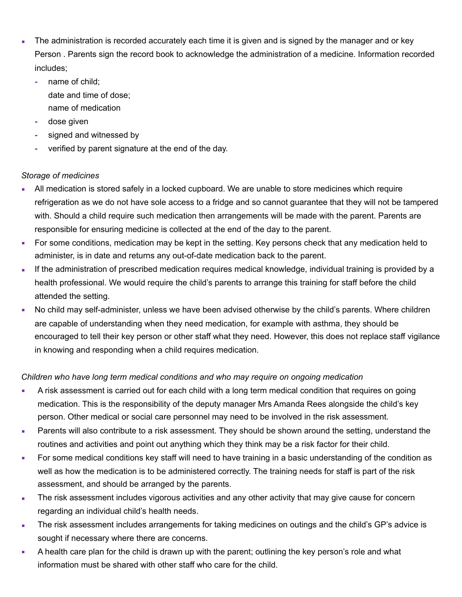- The administration is recorded accurately each time it is given and is signed by the manager and or key Person . Parents sign the record book to acknowledge the administration of a medicine. Information recorded includes;
	- **-** name of child;
		- date and time of dose; name of medication
	- **-** dose given
	- **-** signed and witnessed by
	- **-** verified by parent signature at the end of the day.

## *Storage of medicines*

- All medication is stored safely in a locked cupboard. We are unable to store medicines which require refrigeration as we do not have sole access to a fridge and so cannot guarantee that they will not be tampered with. Should a child require such medication then arrangements will be made with the parent. Parents are responsible for ensuring medicine is collected at the end of the day to the parent.
- For some conditions, medication may be kept in the setting. Key persons check that any medication held to administer, is in date and returns any out-of-date medication back to the parent.
- **.** If the administration of prescribed medication requires medical knowledge, individual training is provided by a health professional. We would require the child's parents to arrange this training for staff before the child attended the setting.
- No child may self-administer, unless we have been advised otherwise by the child's parents. Where children are capable of understanding when they need medication, for example with asthma, they should be encouraged to tell their key person or other staff what they need. However, this does not replace staff vigilance in knowing and responding when a child requires medication.

# *Children who have long term medical conditions and who may require on ongoing medication*

- **•** A risk assessment is carried out for each child with a long term medical condition that requires on going medication. This is the responsibility of the deputy manager Mrs Amanda Rees alongside the child's key person. Other medical or social care personnel may need to be involved in the risk assessment.
- **EXECT** Parents will also contribute to a risk assessment. They should be shown around the setting, understand the routines and activities and point out anything which they think may be a risk factor for their child.
- For some medical conditions key staff will need to have training in a basic understanding of the condition as well as how the medication is to be administered correctly. The training needs for staff is part of the risk assessment, and should be arranged by the parents.
- **The risk assessment includes vigorous activities and any other activity that may give cause for concern** regarding an individual child's health needs.
- The risk assessment includes arrangements for taking medicines on outings and the child's GP's advice is sought if necessary where there are concerns.
- A health care plan for the child is drawn up with the parent; outlining the key person's role and what information must be shared with other staff who care for the child.